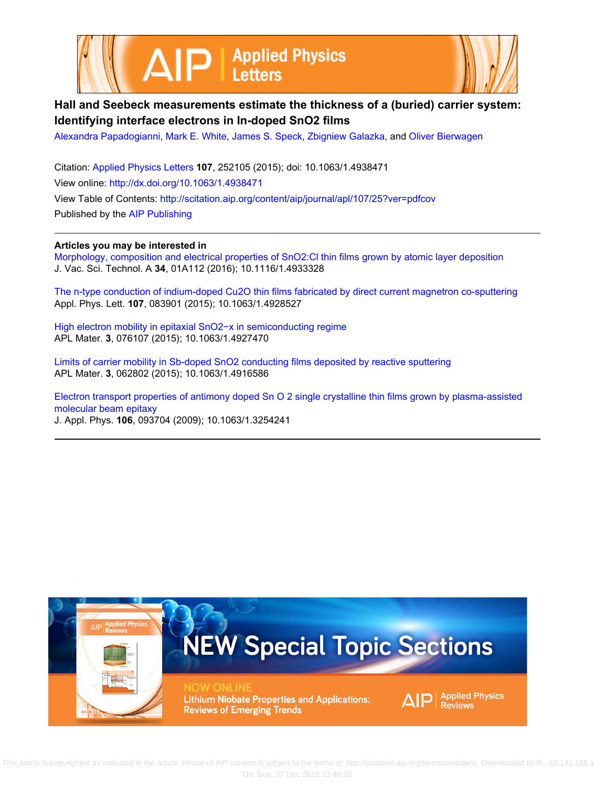



## **Hall and Seebeck measurements estimate the thickness of a (buried) carrier system: Identifying interface electrons in In-doped SnO2 films**

[Alexandra Papadogianni,](http://scitation.aip.org/search?value1=Alexandra+Papadogianni&option1=author) [Mark E. White](http://scitation.aip.org/search?value1=Mark+E.+White&option1=author), [James S. Speck,](http://scitation.aip.org/search?value1=James+S.+Speck&option1=author) [Zbigniew Galazka,](http://scitation.aip.org/search?value1=Zbigniew+Galazka&option1=author) and [Oliver Bierwagen](http://scitation.aip.org/search?value1=Oliver+Bierwagen&option1=author)

Citation: [Applied Physics Letters](http://scitation.aip.org/content/aip/journal/apl?ver=pdfcov) **107**, 252105 (2015); doi: 10.1063/1.4938471 View online: <http://dx.doi.org/10.1063/1.4938471> View Table of Contents: <http://scitation.aip.org/content/aip/journal/apl/107/25?ver=pdfcov> Published by the [AIP Publishing](http://scitation.aip.org/content/aip?ver=pdfcov)

**Articles you may be interested in**

[Morphology, composition and electrical properties of SnO2:Cl thin films grown by atomic layer deposition](http://scitation.aip.org/content/avs/journal/jvsta/34/1/10.1116/1.4933328?ver=pdfcov) J. Vac. Sci. Technol. A **34**, 01A112 (2016); 10.1116/1.4933328

[The n-type conduction of indium-doped Cu2O thin films fabricated by direct current magnetron co-sputtering](http://scitation.aip.org/content/aip/journal/apl/107/8/10.1063/1.4928527?ver=pdfcov) Appl. Phys. Lett. **107**, 083901 (2015); 10.1063/1.4928527

High electron mobility in epitaxial SnO2-x in semiconducting regime APL Mater. **3**, 076107 (2015); 10.1063/1.4927470

[Limits of carrier mobility in Sb-doped SnO2 conducting films deposited by reactive sputtering](http://scitation.aip.org/content/aip/journal/aplmater/3/6/10.1063/1.4916586?ver=pdfcov) APL Mater. **3**, 062802 (2015); 10.1063/1.4916586

[Electron transport properties of antimony doped Sn O 2 single crystalline thin films grown by plasma-assisted](http://scitation.aip.org/content/aip/journal/jap/106/9/10.1063/1.3254241?ver=pdfcov) [molecular beam epitaxy](http://scitation.aip.org/content/aip/journal/jap/106/9/10.1063/1.3254241?ver=pdfcov)

J. Appl. Phys. **106**, 093704 (2009); 10.1063/1.3254241

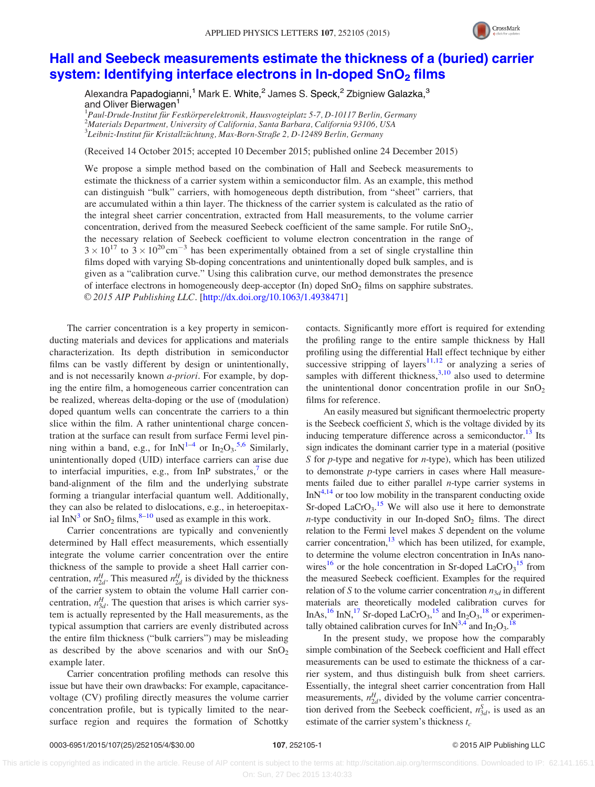

## <span id="page-1-0"></span>[Hall and Seebeck measurements estimate the thickness of a \(buried\) carrier](http://dx.doi.org/10.1063/1.4938471) system: Identifying interface electrons in In-doped SnO<sub>2</sub> [films](http://dx.doi.org/10.1063/1.4938471)

Alexandra Papadogianni,<sup>1</sup> Mark E. White,<sup>2</sup> James S. Speck,<sup>2</sup> Zbigniew Galazka,<sup>3</sup> and Oliver Bierwagen<sup>1</sup>

<sup>1</sup> Paul-Drude-Institut für Festkörperelektronik, Hausvogteiplatz 5-7, D-10117 Berlin, Germany<br><sup>2</sup>Materials Denartment, University of California, Santa Barbara, California 03106, USA  $^2$ Materials Department, University of California, Santa Barbara, California 93106, USA  $^3$ Leibniz-Institut für Kristallzüchtung, Max-Born-Straße 2, D-12489 Berlin, Germany

(Received 14 October 2015; accepted 10 December 2015; published online 24 December 2015)

We propose a simple method based on the combination of Hall and Seebeck measurements to estimate the thickness of a carrier system within a semiconductor film. As an example, this method can distinguish "bulk" carriers, with homogeneous depth distribution, from "sheet" carriers, that are accumulated within a thin layer. The thickness of the carrier system is calculated as the ratio of the integral sheet carrier concentration, extracted from Hall measurements, to the volume carrier concentration, derived from the measured Seebeck coefficient of the same sample. For rutile  $SnO<sub>2</sub>$ , the necessary relation of Seebeck coefficient to volume electron concentration in the range of  $3 \times 10^{17}$  to  $3 \times 10^{20}$  cm<sup>-3</sup> has been experimentally obtained from a set of single crystalline thin films doped with varying Sb-doping concentrations and unintentionally doped bulk samples, and is given as a "calibration curve." Using this calibration curve, our method demonstrates the presence of interface electrons in homogeneously deep-acceptor (In) doped  $SnO<sub>2</sub>$  films on sapphire substrates. © 2015 AIP Publishing LLC. [[http://dx.doi.org/10.1063/1.4938471\]](http://dx.doi.org/10.1063/1.4938471)

The carrier concentration is a key property in semiconducting materials and devices for applications and materials characterization. Its depth distribution in semiconductor films can be vastly different by design or unintentionally, and is not necessarily known *a-priori*. For example, by doping the entire film, a homogeneous carrier concentration can be realized, whereas delta-doping or the use of (modulation) doped quantum wells can concentrate the carriers to a thin slice within the film. A rather unintentional charge concentration at the surface can result from surface Fermi level pinning within a band, e.g., for  $InN^{1-4}$  or  $In_2O_3$ .<sup>[5,6](#page-4-0)</sup> Similarly, unintentionally doped (UID) interface carriers can arise due to interfacial impurities, e.g., from InP substrates, $\frac{7}{1}$  $\frac{7}{1}$  $\frac{7}{1}$  or the band-alignment of the film and the underlying substrate forming a triangular interfacial quantum well. Additionally, they can also be related to dislocations, e.g., in heteroepitax-ial InN<sup>[3](#page-4-0)</sup> or SnO<sub>2</sub> films,  $8-10$  used as example in this work.

Carrier concentrations are typically and conveniently determined by Hall effect measurements, which essentially integrate the volume carrier concentration over the entire thickness of the sample to provide a sheet Hall carrier concentration,  $n_{2d}^H$ . This measured  $n_{2d}^H$  is divided by the thickness of the carrier system to obtain the volume Hall carrier concentration,  $n_{3d}^H$ . The question that arises is which carrier system is actually represented by the Hall measurements, as the typical assumption that carriers are evenly distributed across the entire film thickness ("bulk carriers") may be misleading as described by the above scenarios and with our  $SnO<sub>2</sub>$ example later.

Carrier concentration profiling methods can resolve this issue but have their own drawbacks: For example, capacitancevoltage (CV) profiling directly measures the volume carrier concentration profile, but is typically limited to the nearsurface region and requires the formation of Schottky contacts. Significantly more effort is required for extending the profiling range to the entire sample thickness by Hall profiling using the differential Hall effect technique by either successive stripping of layers<sup>[11,12](#page-4-0)</sup> or analyzing a series of samples with different thickness, $3,10$  also used to determine the unintentional donor concentration profile in our  $SnO<sub>2</sub>$ films for reference.

An easily measured but significant thermoelectric property is the Seebeck coefficient S, which is the voltage divided by its inducing temperature difference across a semiconductor.<sup>[13](#page-4-0)</sup> Its sign indicates the dominant carrier type in a material (positive S for  $p$ -type and negative for  $n$ -type), which has been utilized to demonstrate p-type carriers in cases where Hall measurements failed due to either parallel n-type carrier systems in  $InN<sup>4,14</sup>$  or too low mobility in the transparent conducting oxide Sr-doped  $LaCrO<sub>3</sub>$ .<sup>[15](#page-4-0)</sup> We will also use it here to demonstrate  $n$ -type conductivity in our In-doped SnO<sub>2</sub> films. The direct relation to the Fermi level makes S dependent on the volume carrier concentration, $^{13}$  which has been utilized, for example, to determine the volume electron concentration in InAs nanowires<sup>16</sup> or the hole concentration in Sr-doped  $LaCrO<sub>3</sub><sup>15</sup>$  $LaCrO<sub>3</sub><sup>15</sup>$  $LaCrO<sub>3</sub><sup>15</sup>$  from the measured Seebeck coefficient. Examples for the required relation of S to the volume carrier concentration  $n_{3d}$  in different materials are theoretically modeled calibration curves for InAs,<sup>16</sup> InN,<sup>[17](#page-4-0)</sup> Sr-doped LaCrO<sub>3</sub>,<sup>[15](#page-4-0)</sup> and In<sub>2</sub>O<sub>3</sub>,<sup>[18](#page-4-0)</sup> or experimentally obtained calibration curves for  $InN^{3,4}$  and  $In_2O_3$ .<sup>[18](#page-4-0)</sup>

In the present study, we propose how the comparably simple combination of the Seebeck coefficient and Hall effect measurements can be used to estimate the thickness of a carrier system, and thus distinguish bulk from sheet carriers. Essentially, the integral sheet carrier concentration from Hall measurements,  $n_{2d}^H$ , divided by the volume carrier concentration derived from the Seebeck coefficient,  $n_{3d}^S$ , is used as an estimate of the carrier system's thickness  $t_c$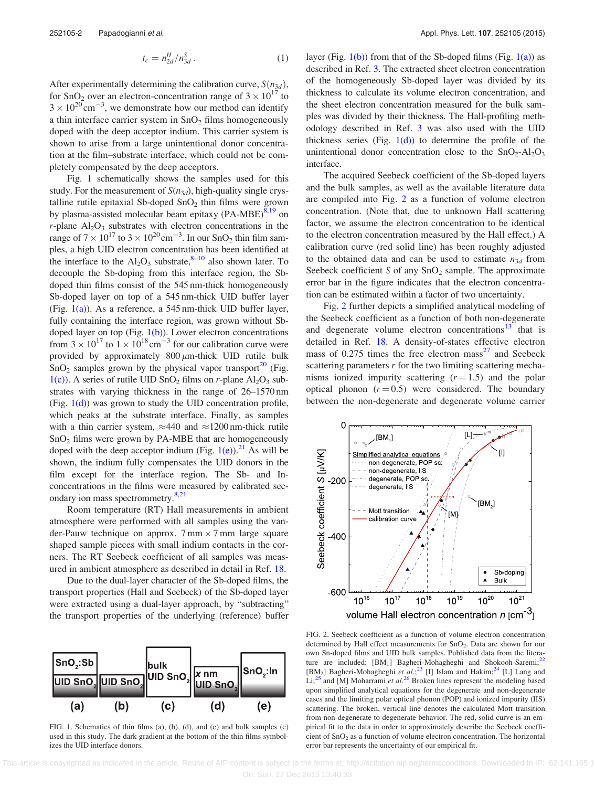$$
t_c = n_{2d}^H / n_{3d}^S \,. \tag{1}
$$

<span id="page-2-0"></span>After experimentally determining the calibration curve,  $S(n_{3d})$ , for SnO<sub>2</sub> over an electron-concentration range of  $3 \times 10^{17}$  to  $3 \times 10^{20}$  cm<sup>-3</sup>, we demonstrate how our method can identify a thin interface carrier system in  $SnO<sub>2</sub>$  films homogeneously doped with the deep acceptor indium. This carrier system is shown to arise from a large unintentional donor concentration at the film–substrate interface, which could not be completely compensated by the deep acceptors.

Fig. 1 schematically shows the samples used for this study. For the measurement of  $S(n_{3d})$ , high-quality single crystalline rutile epitaxial Sb-doped  $SnO<sub>2</sub>$  thin films were grown by plasma-assisted molecular beam epitaxy (PA-MBE)<sup>8,19</sup> on  $r$ -plane Al<sub>2</sub>O<sub>3</sub> substrates with electron concentrations in the range of  $7 \times 10^{17}$  to  $3 \times 10^{20}$  cm<sup>-3</sup>. In our SnO<sub>2</sub> thin film samples, a high UID electron concentration has been identified at the interface to the  $Al_2O_3$  substrate,<sup>8–10</sup> also shown later. To decouple the Sb-doping from this interface region, the Sbdoped thin films consist of the 545 nm-thick homogeneously Sb-doped layer on top of a 545 nm-thick UID buffer layer (Fig.  $1(a)$ ). As a reference, a 545 nm-thick UID buffer layer, fully containing the interface region, was grown without Sbdoped layer on top (Fig.  $1(b)$ ). Lower electron concentrations from  $3 \times 10^{17}$  to  $1 \times 10^{18}$  cm<sup>-3</sup> for our calibration curve were provided by approximately  $800 \mu m$ -thick UID rutile bulk  $SnO<sub>2</sub>$  samples grown by the physical vapor transport<sup>20</sup> (Fig.  $1(c)$ ). A series of rutile UID SnO<sub>2</sub> films on r-plane Al<sub>2</sub>O<sub>3</sub> substrates with varying thickness in the range of 26–1570 nm (Fig.  $1(d)$ ) was grown to study the UID concentration profile, which peaks at the substrate interface. Finally, as samples with a thin carrier system,  $\approx$ 440 and  $\approx$ 1200 nm-thick rutile  $SnO<sub>2</sub>$  films were grown by PA-MBE that are homogeneously doped with the deep acceptor indium (Fig. 1(e)).<sup>21</sup> As will be shown, the indium fully compensates the UID donors in the film except for the interface region. The Sb- and Inconcentrations in the films were measured by calibrated secondary ion mass spectrommetry[.8,21](#page-4-0)

Room temperature (RT) Hall measurements in ambient atmosphere were performed with all samples using the vander-Pauw technique on approx.  $7 \text{ mm} \times 7 \text{ mm}$  large square shaped sample pieces with small indium contacts in the corners. The RT Seebeck coefficient of all samples was measured in ambient atmosphere as described in detail in Ref. [18](#page-4-0).

Due to the dual-layer character of the Sb-doped films, the transport properties (Hall and Seebeck) of the Sb-doped layer were extracted using a dual-layer approach, by "subtracting" the transport properties of the underlying (reference) buffer



FIG. 1. Schematics of thin films (a), (b), (d), and (e) and bulk samples (c) used in this study. The dark gradient at the bottom of the thin films symbolizes the UID interface donors.

layer (Fig.  $1(b)$ ) from that of the Sb-doped films (Fig.  $1(a)$ ) as described in Ref. [3](#page-4-0). The extracted sheet electron concentration of the homogeneously Sb-doped layer was divided by its thickness to calculate its volume electron concentration, and the sheet electron concentration measured for the bulk samples was divided by their thickness. The Hall-profiling methodology described in Ref. [3](#page-4-0) was also used with the UID thickness series (Fig.  $1(d)$ ) to determine the profile of the unintentional donor concentration close to the  $SnO<sub>2</sub>-Al<sub>2</sub>O<sub>3</sub>$ interface.

The acquired Seebeck coefficient of the Sb-doped layers and the bulk samples, as well as the available literature data are compiled into Fig. 2 as a function of volume electron concentration. (Note that, due to unknown Hall scattering factor, we assume the electron concentration to be identical to the electron concentration measured by the Hall effect.) A calibration curve (red solid line) has been roughly adjusted to the obtained data and can be used to estimate  $n_{3d}$  from Seebeck coefficient S of any  $SnO<sub>2</sub>$  sample. The approximate error bar in the figure indicates that the electron concentration can be estimated within a factor of two uncertainty.

Fig. 2 further depicts a simplified analytical modeling of the Seebeck coefficient as a function of both non-degenerate and degenerate volume electron concentrations $^{13}$  $^{13}$  $^{13}$  that is detailed in Ref. [18.](#page-4-0) A density-of-states effective electron mass of  $0.275$  $0.275$  $0.275$  times the free electron mass<sup>27</sup> and Seebeck scattering parameters  $r$  for the two limiting scattering mechanisms ionized impurity scattering  $(r = 1.5)$  and the polar optical phonon  $(r = 0.5)$  were considered. The boundary between the non-degenerate and degenerate volume carrier



FIG. 2. Seebeck coefficient as a function of volume electron concentration determined by Hall effect measurements for  $SnO<sub>2</sub>$ . Data are shown for our own Sn-doped films and UID bulk samples. Published data from the literature are included: [BM<sub>1</sub>] Bagheri-Mohagheghi and Shokooh-Saremi;<sup>22</sup> [BM<sub>2</sub>] Bagheri-Mohagheghi et al.;<sup>[23](#page-4-0)</sup> [I] Islam and Hakim;<sup>24</sup> [L] Lang and Li;<sup>[25](#page-4-0)</sup> and [M] Moharrami et al.<sup>[26](#page-4-0)</sup> Broken lines represent the modeling based upon simplified analytical equations for the degenerate and non-degenerate cases and the limiting polar optical phonon (POP) and ionized impurity (IIS) scattering. The broken, vertical line denotes the calculated Mott transition from non-degenerate to degenerate behavior. The red, solid curve is an empirical fit to the data in order to approximately describe the Seebeck coefficient of  $SnO<sub>2</sub>$  as a function of volume electron concentration. The horizontal error bar represents the uncertainty of our empirical fit.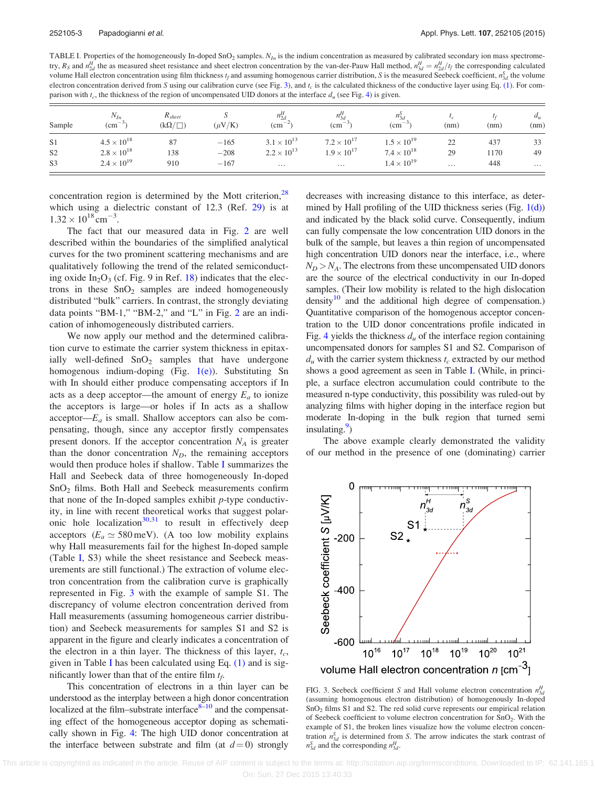TABLE I. Properties of the homogeneously In-doped SnO<sub>2</sub> samples.  $N_{In}$  is the indium concentration as measured by calibrated secondary ion mass spectrometry,  $R_S$  and  $n_{2d}^H$  the as measured sheet resistance and sheet electron concentration by the van-der-Pauw Hall method,  $n_{3d}^H = n_{2d}^H / t_f$  the corresponding calculated volume Hall electron concentration using film thickness  $t_f$  and assuming homogenous carrier distribution, S is the measured Seebeck coefficient,  $n_{3d}^S$  the volume electron concentration derived from S using our calibration curve (see Fig. 3), and  $t_c$  is the calculated thickness of the conductive layer using Eq. [\(1\)](#page-1-0). For comparison with  $t_c$ , the thickness of the region of uncompensated UID donors at the interface  $d_u$  (see Fig. [4](#page-4-0)) is given.

| Sample         | $N_{In}$<br>$\rm{cm^{-3}}$ | $R_{sheet}$<br>$(k\Omega/\Box)$ | $(\mu V/K)$ | $n_{2d}^H$<br>$\rm \, cm^{-2}$ | $n_{3d}$<br>$\rm \, (cm^{-3} )$ | $n_{3a}^3$<br>$\text{cm}^{-3}$ | (nm)     | (nm) | $d_u$<br>(nm) |
|----------------|----------------------------|---------------------------------|-------------|--------------------------------|---------------------------------|--------------------------------|----------|------|---------------|
| S <sub>1</sub> | $4.5 \times 10^{18}$       | 87                              | $-165$      | $3.1 \times 10^{13}$           | $7.2 \times 10^{17}$            | $1.5 \times 10^{19}$           | 22       | 437  | 33            |
| S <sub>2</sub> | $2.8 \times 10^{18}$       | 138                             | $-208$      | $2.2 \times 10^{13}$           | $1.9 \times 10^{17}$            | $7.4 \times 10^{18}$           | 29       | 1170 | 49            |
| S <sub>3</sub> | $2.4 \times 10^{19}$       | 910                             | $-167$      | $\cdots$                       | $\cdots$                        | $1.4 \times 10^{19}$           | $\cdots$ | 448  | $\cdots$      |

concentration region is determined by the Mott criterion,  $28$ which using a dielectric constant of 12.3 (Ref. [29\)](#page-4-0) is at  $1.32 \times 10^{18}$  cm<sup>-3</sup>.

The fact that our measured data in Fig. [2](#page-2-0) are well described within the boundaries of the simplified analytical curves for the two prominent scattering mechanisms and are qualitatively following the trend of the related semiconducting oxide  $In_2O_3$  (cf. Fig. 9 in Ref. [18](#page-4-0)) indicates that the electrons in these  $SnO<sub>2</sub>$  samples are indeed homogeneously distributed "bulk" carriers. In contrast, the strongly deviating data points "BM-1," "BM-2," and "L" in Fig. [2](#page-2-0) are an indication of inhomogeneously distributed carriers.

We now apply our method and the determined calibration curve to estimate the carrier system thickness in epitaxially well-defined  $SnO<sub>2</sub>$  samples that have undergone homogenous indium-doping (Fig. [1\(e\)](#page-2-0)). Substituting Sn with In should either produce compensating acceptors if In acts as a deep acceptor—the amount of energy  $E_a$  to ionize the acceptors is large—or holes if In acts as a shallow acceptor— $E_a$  is small. Shallow acceptors can also be compensating, though, since any acceptor firstly compensates present donors. If the acceptor concentration  $N_A$  is greater than the donor concentration  $N_D$ , the remaining acceptors would then produce holes if shallow. Table I summarizes the Hall and Seebeck data of three homogeneously In-doped SnO2 films. Both Hall and Seebeck measurements confirm that none of the In-doped samples exhibit  $p$ -type conductivity, in line with recent theoretical works that suggest polar-onic hole localization<sup>[30,31](#page-4-0)</sup> to result in effectively deep acceptors ( $E_a \simeq 580 \,\text{meV}$ ). (A too low mobility explains why Hall measurements fail for the highest In-doped sample (Table I, S3) while the sheet resistance and Seebeck measurements are still functional.) The extraction of volume electron concentration from the calibration curve is graphically represented in Fig. 3 with the example of sample S1. The discrepancy of volume electron concentration derived from Hall measurements (assuming homogeneous carrier distribution) and Seebeck measurements for samples S1 and S2 is apparent in the figure and clearly indicates a concentration of the electron in a thin layer. The thickness of this layer,  $t_c$ , given in Table I has been calculated using Eq.  $(1)$  and is significantly lower than that of the entire film  $t_f$ .

This concentration of electrons in a thin layer can be understood as the interplay between a high donor concentration localized at the film–substrate interface $8-10$  and the compensating effect of the homogeneous acceptor doping as schematically shown in Fig. [4:](#page-4-0) The high UID donor concentration at the interface between substrate and film (at  $d=0$ ) strongly

decreases with increasing distance to this interface, as determined by Hall profiling of the UID thickness series (Fig.  $1(d)$ ) and indicated by the black solid curve. Consequently, indium can fully compensate the low concentration UID donors in the bulk of the sample, but leaves a thin region of uncompensated high concentration UID donors near the interface, i.e., where  $N_D > N_A$ . The electrons from these uncompensated UID donors are the source of the electrical conductivity in our In-doped samples. (Their low mobility is related to the high dislocation density $10$  and the additional high degree of compensation.) Quantitative comparison of the homogenous acceptor concentration to the UID donor concentrations profile indicated in Fig. [4](#page-4-0) yields the thickness  $d_u$  of the interface region containing uncompensated donors for samples S1 and S2. Comparison of  $d_u$  with the carrier system thickness  $t_c$  extracted by our method shows a good agreement as seen in Table I. (While, in principle, a surface electron accumulation could contribute to the measured n-type conductivity, this possibility was ruled-out by analyzing films with higher doping in the interface region but moderate In-doping in the bulk region that turned semi insulating.<sup>9</sup>)

The above example clearly demonstrated the validity of our method in the presence of one (dominating) carrier



FIG. 3. Seebeck coefficient S and Hall volume electron concentration  $n_{3d}^H$ (assuming homogenous electron distribution) of homogenously In-doped  $SnO<sub>2</sub>$  films S1 and S2. The red solid curve represents our empirical relation of Seebeck coefficient to volume electron concentration for  $SnO<sub>2</sub>$ . With the example of S1, the broken lines visualize how the volume electron concentration  $n_{3d}^S$  is determined from S. The arrow indicates the stark contrast of  $n_{3d}^S$  and the corresponding  $n_{3d}^H$ .